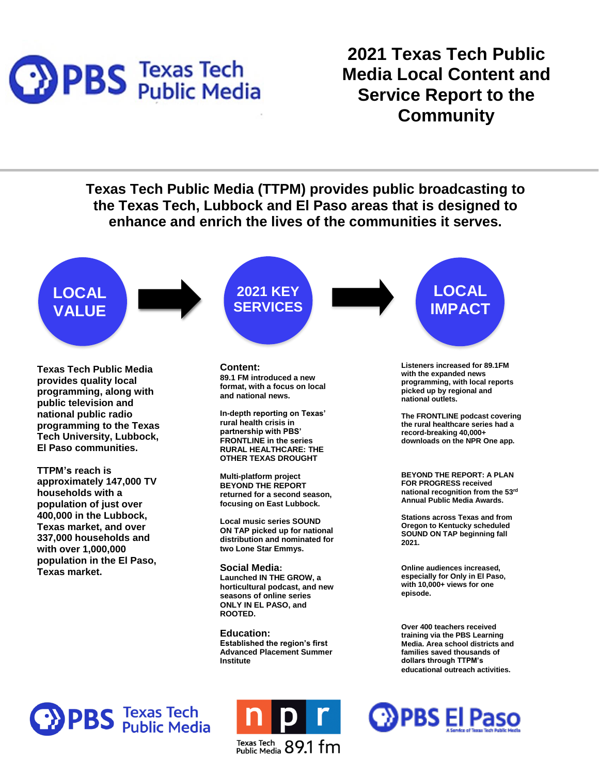

Content and Service Report **2021 Texas Tech Public Media Local Content and Service Report to the Community**

**Texas Tech Public Media (TTPM) provides public broadcasting to the Texas Tech, Lubbock and El Paso areas that is designed to enhance and enrich the lives of the communities it serves. LOCAL 2021 KEY LOCAL SERVICES IMPACT VALUE Listeners increased for 89.1FM Content: Texas Tech Public Media with the expanded news 89.1 FM introduced a new provides quality local programming, with local reports format, with a focus on local programming, along with picked up by regional and and national news. national outlets. public television and national public radio In-depth reporting on Texas' The FRONTLINE podcast covering rural health crisis in programming to the Texas the rural healthcare series had a partnership with PBS' record-breaking 40,000+ Tech University, Lubbock, FRONTLINE in the series downloads on the NPR One app. El Paso communities. RURAL HEALTHCARE: THE OTHER TEXAS DROUGHT TTPM's reach is BEYOND THE REPORT: A PLAN Multi-platform project approximately 147,000 TV FOR PROGRESS received BEYOND THE REPORT national recognition from the 53rd households with a returned for a second season, Annual Public Media Awards. focusing on East Lubbock. population of just over 400,000 in the Lubbock, Stations across Texas and from Local music series SOUND Oregon to Kentucky scheduled Texas market, and over ON TAP picked up for national SOUND ON TAP beginning fall 337,000 households and distribution and nominated for 2021. with over 1,000,000 two Lone Star Emmys. population in the El Paso, Social Media: Online audiences increased, Texas market. especially for Only in El Paso, Launched IN THE GROW, a with 10,000+ views for one horticultural podcast, and new episode. seasons of online series ONLY IN EL PASO, and ROOTED. Over 400 teachers received Education: training via the PBS Learning Established the region's first Media. Area school districts and Advanced Placement Summer families saved thousands of Institute dollars through TTPM's educational outreach activities. PBS** Texas Tech<br>PBS Public Media **DPBS El Paso** 

Texas Tech 89.1 fm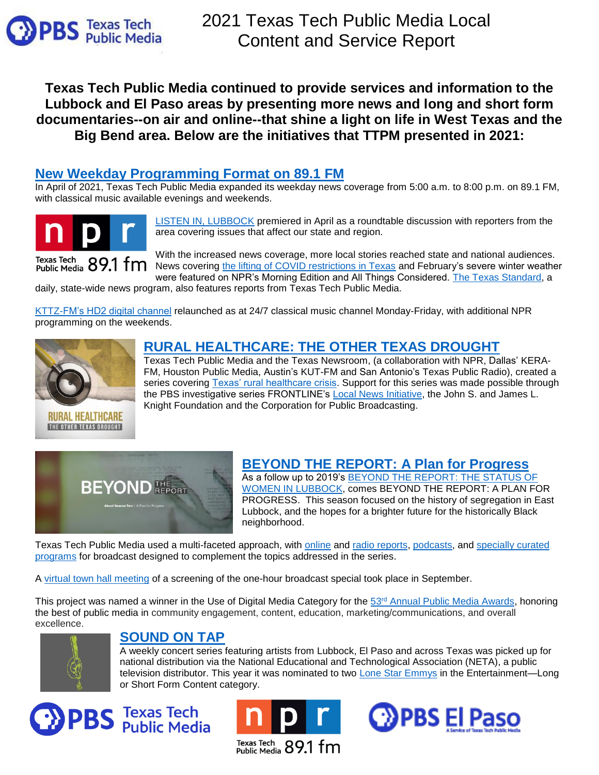

**Texas Tech Public Media continued to provide services and information to the Lubbock and El Paso areas by presenting more news and long and short form documentaries--on air and online--that shine a light on life in West Texas and the Big Bend area. Below are the initiatives that TTPM presented in 2021:**

# **New Weekday [Programming Format](https://radio.kttz.org/local-news) on 89.1 FM**

In April of 2021, Texas Tech Public Media expanded its weekday news coverage from 5:00 a.m. to 8:00 p.m. on 89.1 FM, with classical music available evenings and weekends.



[LISTEN IN, LUBBOCK](https://radio.kttz.org/show/listen-in-lubbock) premiered in April as a roundtable discussion with reporters from the area covering issues that affect our state and region.

With the increased news coverage, more local stories reached state and national audiences. Texas Tech 89.1 fm News covering [the lifting of COVID restrictions in Texas](https://www.npr.org/2021/03/10/975545481/texas-lifts-its-state-wide-mask-mandate-some-businesses-disagree) and February's severe winter weather were featured on NPR's Morning Edition and All Things Considered. [The Texas Standard,](https://www.texasstandard.org/?s=KTTZ) a

daily, state-wide news program, also features reports from Texas Tech Public Media.

[KTTZ-FM's HD2 digital channel](https://radio.kttz.org/kttz-hd2-radio-schedule) relaunched as at 24/7 classical music channel Monday-Friday, with additional NPR programming on the weekends.



RURAL HEALTHCARE THE OTHER TEXAS DROUGHT

## **[RURAL HEALTHCARE: THE OTHER TEXAS DROUGHT](https://radio.kttz.org/podcast/rural-health-care-the-other-texas-drought)**

Texas Tech Public Media and the Texas Newsroom, (a collaboration with NPR, Dallas' KERA-FM, Houston Public Media, Austin's KUT-FM and San Antonio's Texas Public Radio), created a series covering [Texas' rural healthcare crisis.](https://radio.kttz.org/2021-12-20/rural-healthcare-the-other-texas-drought) Support for this series was made possible through the PBS investigative series FRONTLINE's [Local News](https://www.pbs.org/wgbh/frontline/announcement/frontline-selects-2020-2021-local-journalism-partners/) Initiative, the John S. and James L. Knight Foundation and the Corporation for Public Broadcasting.



## **[BEYOND THE REPORT:](https://tv.kttz.org/local-productions/beyond-the-report/) A Plan for Progress**

As a follow up to 2019's [BEYOND THE REPORT: THE STATUS OF](https://tv.kttz.org/beyond-the-report/the-status-of-women-in-lubbock/)  [WOMEN IN](https://tv.kttz.org/beyond-the-report/the-status-of-women-in-lubbock/) LUBBOCK, comes BEYOND THE REPORT: A PLAN FOR PROGRESS. This season focused on the history of segregation in East Lubbock, and the hopes for a brighter future for the historically Black neighborhood.

Texas Tech Public Media used a multi-faceted approach, with [online](https://tv.kttz.org/local-productions/beyond-the-report-premiering-june-28/beyond-the-report-season-2/a-plan-for-progress/) and [radio reports,](https://radio.kttz.org/post/beyond-report-habitat-humanity-bringing-housing-east-lubbock-deserves) [podcasts,](https://tv.kttz.org/local-productions/beyond-the-report-premiering-june-28/beyond-the-report-season-2/stories-from-east-lubbock/) and [specially curated](https://tv.kttz.org/local-productions/beyond-the-report-premiering-june-28/beyond-the-report-season-2/related-programming/)  [programs](https://tv.kttz.org/local-productions/beyond-the-report-premiering-june-28/beyond-the-report-season-2/related-programming/) for broadcast designed to complement the topics addressed in the series.

A [virtual town hall meeting](https://ovee.itvs.org/screenings/70gp5) of a screening of the one-hour broadcast special took place in September.

This project was named a winner in the Use of Digital Media Category for the 53<sup>rd</sup> [Annual Public Media Awards,](https://www.annualnetaconference.org/53rd-public-media-award-winners) honoring the best of public media in community engagement, content, education, marketing/communications, and overall excellence.



## **[SOUND ON TAP](https://tv.kttz.org/local-productions/sound-on-tap/)**

A weekly concert series featuring artists from Lubbock, El Paso and across Texas was picked up for national distribution via the National Educational and Technological Association (NETA), a public television distributor. This year it was nominated to two [Lone Star Emmys](https://lonestaremmy.org/awards/archives/2021-lone-star-emmy-nominations/) in the Entertainment-Long or Short Form Content category.





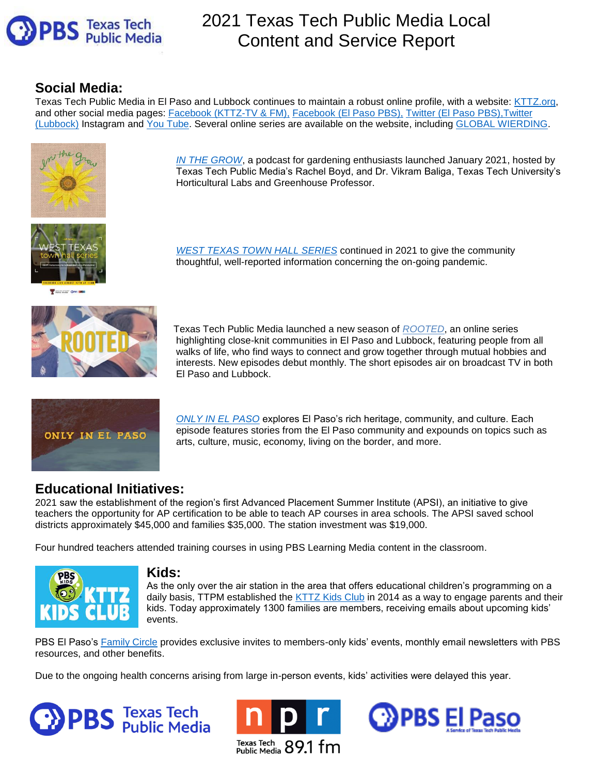

# 2021 Texas Tech Public Media Local Content and Service Report

# **Social Media:**

Texas Tech Public Media in El Paso and Lubbock continues to maintain a robust online profile, with a website: [KTTZ.org,](http://kttz.org/) and other social media pages: [Facebook \(KTTZ-TV & FM\),](https://www.facebook.com/ttupublicmedia/) [Facebook \(El Paso PBS\),](https://www.facebook.com/PBSElPasoTx) Twitter [\(El Paso PBS\),](https://twitter.com/PBSElPaso)[Twitter](https://twitter.com/ttupublicmedia)  [\(Lubbock\)](https://twitter.com/ttupublicmedia) [Instagram](https://www.instagram.com/ttupublicmedia/) and [You Tube.](https://www.youtube.com/user/KTTZTV) Several online series are available on the website, including [GLOBAL WIERDING.](https://tv.kttz.org/local-productions/Global-Weirding/)



*[IN THE GROW](https://radio.kttz.org/podcast/in-the-grow)*, a podcast for gardening enthusiasts launched January 2021, hosted by Texas Tech Public Media's Rachel Boyd, and Dr. Vikram Baliga, Texas Tech University's Horticultural Labs and Greenhouse Professor.



T Fishle Media GP15 ER



*[WEST TEXAS TOWN HALL SERIES](https://radio.kttz.org/post/west-texas-town-hall-next-wave-covid-19-pandemic)* continued in 2021 to give the community thoughtful, well-reported information concerning the on-going pandemic.

 Texas Tech Public Media launched a new season of *[ROOTED](https://www.kcostv.org/local/rooted/)*, an online series highlighting close-knit communities in El Paso and Lubbock, featuring people from all walks of life, who find ways to connect and grow together through mutual hobbies and interests. New episodes debut monthly. The short episodes air on broadcast TV in both El Paso and Lubbock.



*ONLY [IN EL PASO](https://www.kcostv.org/onlyinelpaso/)* explores El Paso's rich heritage, community, and culture. Each episode features stories from the El Paso community and expounds on topics such as arts, culture, music, economy, living on the border, and more.

# **Educational Initiatives:**

2021 saw the establishment of the region's first Advanced Placement Summer Institute (APSI), an initiative to give teachers the opportunity for AP certification to be able to teach AP courses in area schools. The APSI saved school districts approximately \$45,000 and families \$35,000. The station investment was \$19,000.

Four hundred teachers attended training courses in using PBS Learning Media content in the classroom.



### **Kids:**

As the only over the air station in the area that offers educational children's programming on a daily basis, TTPM established the [KTTZ Kids Club](https://tv.kttz.org/Kids/KTTZ-Kids-Club/) in 2014 as a way to engage parents and their kids. Today approximately 1300 families are members, receiving emails about upcoming kids' events.

PBS El Paso's [Family Circle](https://www.kcostv.org/familycircle/) provides exclusive invites to members-only kids' events, monthly email newsletters with PBS resources, and other benefits.

Due to the ongoing health concerns arising from large in-person events, kids' activities were delayed this year.





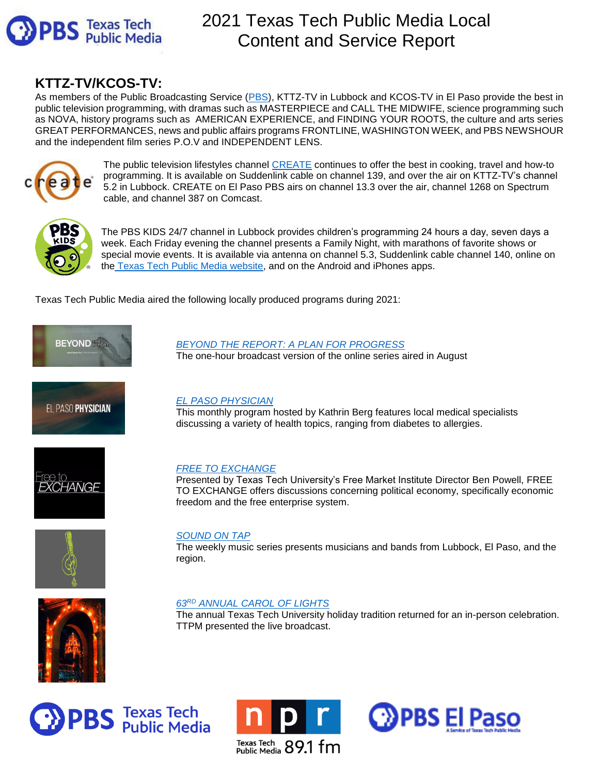

# 2021 Texas Tech Public Media Local Content and Service Report

# **KTTZ-TV/KCOS-TV:**

As members of the Public Broadcasting Service [\(PBS\)](http://www.pbs.org/), KTTZ-TV in Lubbock and KCOS-TV in El Paso provide the best in public television programming, with dramas such as MASTERPIECE and CALL THE MIDWIFE, science programming such as NOVA, history programs such as AMERICAN EXPERIENCE, and FINDING YOUR ROOTS, the culture and arts series GREAT PERFORMANCES, news and public affairs programs FRONTLINE, WASHINGTON WEEK, and PBS NEWSHOUR and the independent film series P.O.V and INDEPENDENT LENS.



The public television lifestyles channel [CREATE](http://createtv.com/) continues to offer the best in cooking, travel and how-to programming. It is available on Suddenlink cable on channel 139, and over the air on KTTZ-TV's channel 5.2 in Lubbock. CREATE on El Paso PBS airs on channel 13.3 over the air, channel 1268 on Spectrum cable, and channel 387 on Comcast.



The PBS KIDS 24/7 channel in Lubbock provides children's programming 24 hours a day, seven days a week. Each Friday evening the channel presents a Family Night, with marathons of favorite shows or special movie events. It is available via antenna on channel 5.3, Suddenlink cable channel 140, online on the [Texas Tech Public Media website,](https://tv.kttz.org/Kids/) and on the Android and iPhones apps.

Texas Tech Public Media aired the following locally produced programs during 2021:



### *[BEYOND THE REPORT: A PLAN FOR PROGRESS](https://tv.kttz.org/local-productions/beyond-the-report/)*

The one-hour broadcast version of the online series aired in August



### *[EL PASO PHYSICIAN](https://www.kcostv.org/theelpasophysician/)*

This monthly program hosted by Kathrin Berg features local medical specialists discussing a variety of health topics, ranging from diabetes to allergies.



### *[FREE TO EXCHANGE](https://tv.kttz.org/local-productions/free-to-exchange/)*

Presented by [Texas Tech University's Free Market Institute](http://www.depts.ttu.edu/freemarketinstitute/tv_show.php) Director Ben Powell, [FREE](https://www.youtube.com/watch?v=GjScMCsq1YA&list=PLU9QItN52rJ4AyxrLv1zHAJRVeiJVlcqQ) [TO EXCHANGE](https://www.youtube.com/watch?v=GjScMCsq1YA&list=PLU9QItN52rJ4AyxrLv1zHAJRVeiJVlcqQ) offers discussions concerning political economy, specifically economic freedom and the free enterprise system.



### *[SOUND ON TAP](https://tv.kttz.org/local-productions/sound-on-tap/)*

The weekly music series presents musicians and bands from Lubbock, El Paso, and the region.

### *63RD [ANNUAL CAROL OF LIGHTS](https://www.depts.ttu.edu/housing/caroloflights/)*

The annual Texas Tech University holiday tradition returned for an in-person celebration. TTPM presented the live broadcast.